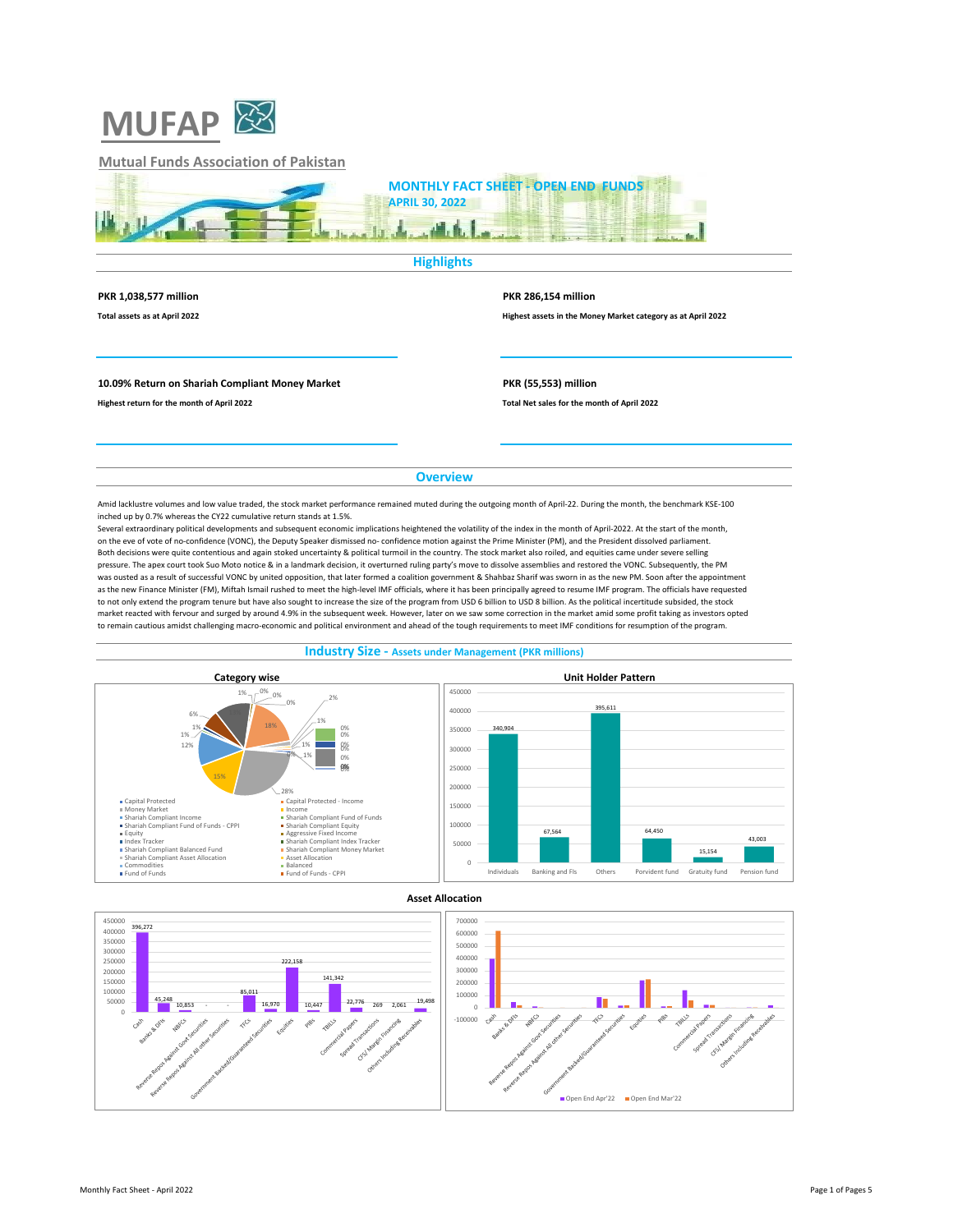

# **Mutual Funds Association of Pakistan**



### **Highlights**

### **PKR 1,038,577 million PKR 286,154 million**

**Total assets as at April 2022 Highest assets in the Money Market category as at April 2022**

Open End Apr'22 **Open End Mar'22** 

## **10.09% Return on Shariah Compliant Money Market PKR (55,553) million**

**Highest return for the month of April 2022 Total Net sales for the month of April 2022**

## **Overview**

Amid lacklustre volumes and low value traded, the stock market performance remained muted during the outgoing month of April-22. During the month, the benchmark KSE-100 inched up by 0.7% whereas the CY22 cumulative return stands at 1.5%.

Several extraordinary political developments and subsequent economic implications heightened the volatility of the index in the month of April-2022. At the start of the month, on the eve of vote of no-confidence (VONC), the Deputy Speaker dismissed no- confidence motion against the Prime Minister (PM), and the President dissolved parliament. Both decisions were quite contentious and again stoked uncertainty & political turmoil in the country. The stock market also roiled, and equities came under severe selling pressure. The apex court took Suo Moto notice & in a landmark decision, it overturned ruling party's move to dissolve assemblies and restored the VONC. Subsequently, the PM was ousted as a result of successful VONC by united opposition, that later formed a coalition government & Shahbaz Sharif was sworn in as the new PM. Soon after the appointment as the new Finance Minister (FM), Miftah Ismail rushed to meet the high-level IMF officials, where it has been principally agreed to resume IMF program. The officials have requested to not only extend the program tenure but have also sought to increase the size of the program from USD 6 billion to USD 8 billion. As the political incertitude subsided, the stock market reacted with fervour and surged by around 4.9% in the subsequent week. However, later on we saw some correction in the market amid some profit taking as investors opted to remain cautious amidst challenging macro-economic and political environment and ahead of the tough requirements to meet IMF conditions for resumption of the program.





## **Industry Size - Assets under Management (PKR millions)**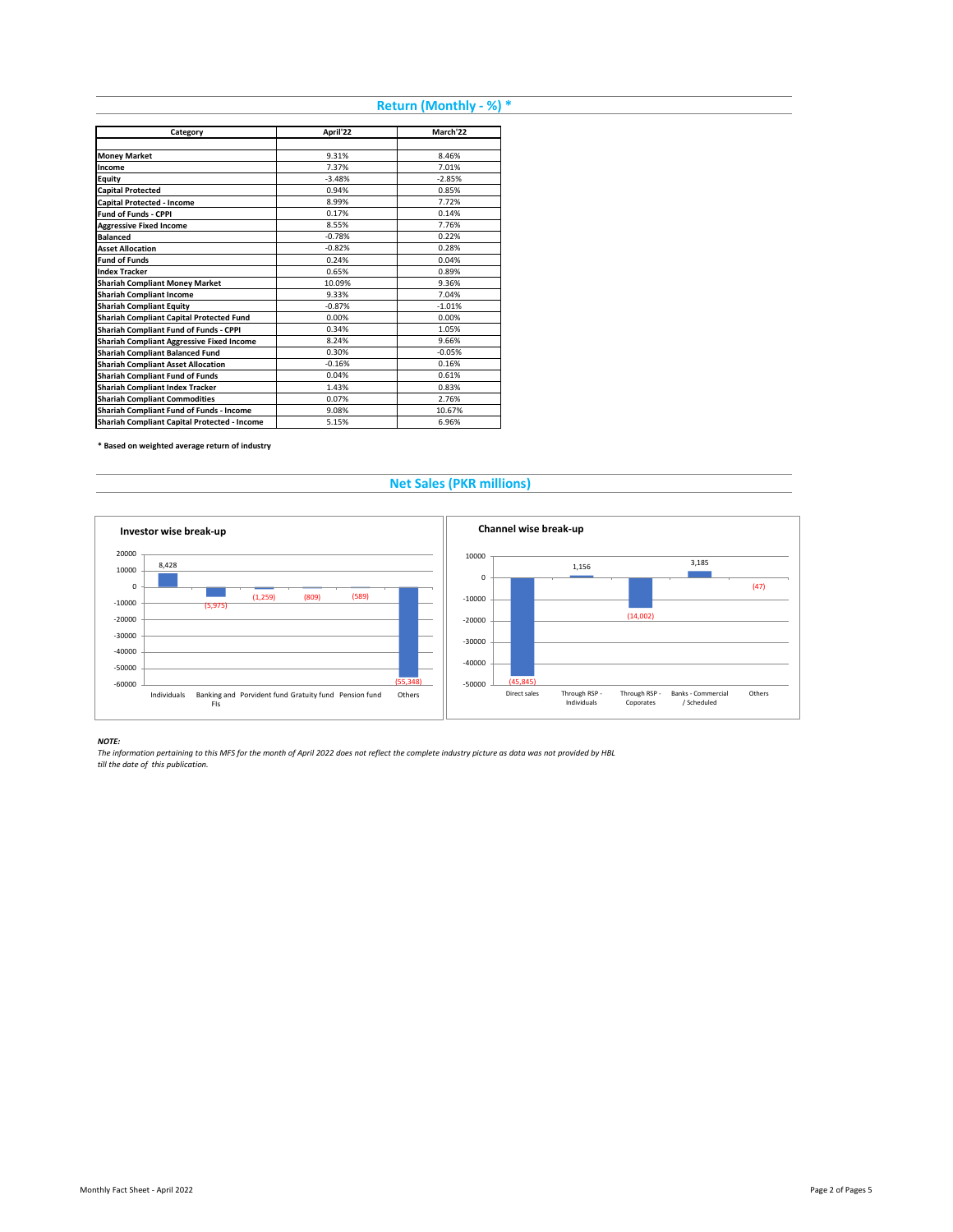# **Return (Monthly - %) \***

| Category                                         | April'22 | March'22 |
|--------------------------------------------------|----------|----------|
|                                                  |          |          |
| <b>Money Market</b>                              | 9.31%    | 8.46%    |
| Income                                           | 7.37%    | 7.01%    |
| Equity                                           | $-3.48%$ | $-2.85%$ |
| <b>Capital Protected</b>                         | 0.94%    | 0.85%    |
| Capital Protected - Income                       | 8.99%    | 7.72%    |
| <b>Fund of Funds - CPPI</b>                      | 0.17%    | 0.14%    |
| <b>Aggressive Fixed Income</b>                   | 8.55%    | 7.76%    |
| <b>Balanced</b>                                  | $-0.78%$ | 0.22%    |
| <b>Asset Allocation</b>                          | $-0.82%$ | 0.28%    |
| <b>Fund of Funds</b>                             | 0.24%    | 0.04%    |
| <b>Index Tracker</b>                             | 0.65%    | 0.89%    |
| <b>Shariah Compliant Money Market</b>            | 10.09%   | 9.36%    |
| <b>Shariah Compliant Income</b>                  | 9.33%    | 7.04%    |
| <b>Shariah Compliant Equity</b>                  | $-0.87%$ | $-1.01%$ |
| Shariah Compliant Capital Protected Fund         | 0.00%    | 0.00%    |
| Shariah Compliant Fund of Funds - CPPI           | 0.34%    | 1.05%    |
| <b>Shariah Compliant Aggressive Fixed Income</b> | 8.24%    | 9.66%    |
| <b>Shariah Compliant Balanced Fund</b>           | 0.30%    | $-0.05%$ |
| <b>Shariah Compliant Asset Allocation</b>        | $-0.16%$ | 0.16%    |
| <b>Shariah Compliant Fund of Funds</b>           | 0.04%    | 0.61%    |
| <b>Shariah Compliant Index Tracker</b>           | 1.43%    | 0.83%    |
| <b>Shariah Compliant Commodities</b>             | 0.07%    | 2.76%    |
| Shariah Compliant Fund of Funds - Income         | 9.08%    | 10.67%   |
| Shariah Compliant Capital Protected - Income     | 5.15%    | 6.96%    |

**\* Based on weighted average return of industry**

## **Net Sales (PKR millions)**



*NOTE: The information pertaining to this MFS for the month of April 2022 does not reflect the complete industry picture as data was not provided by HBL till the date of this publication.*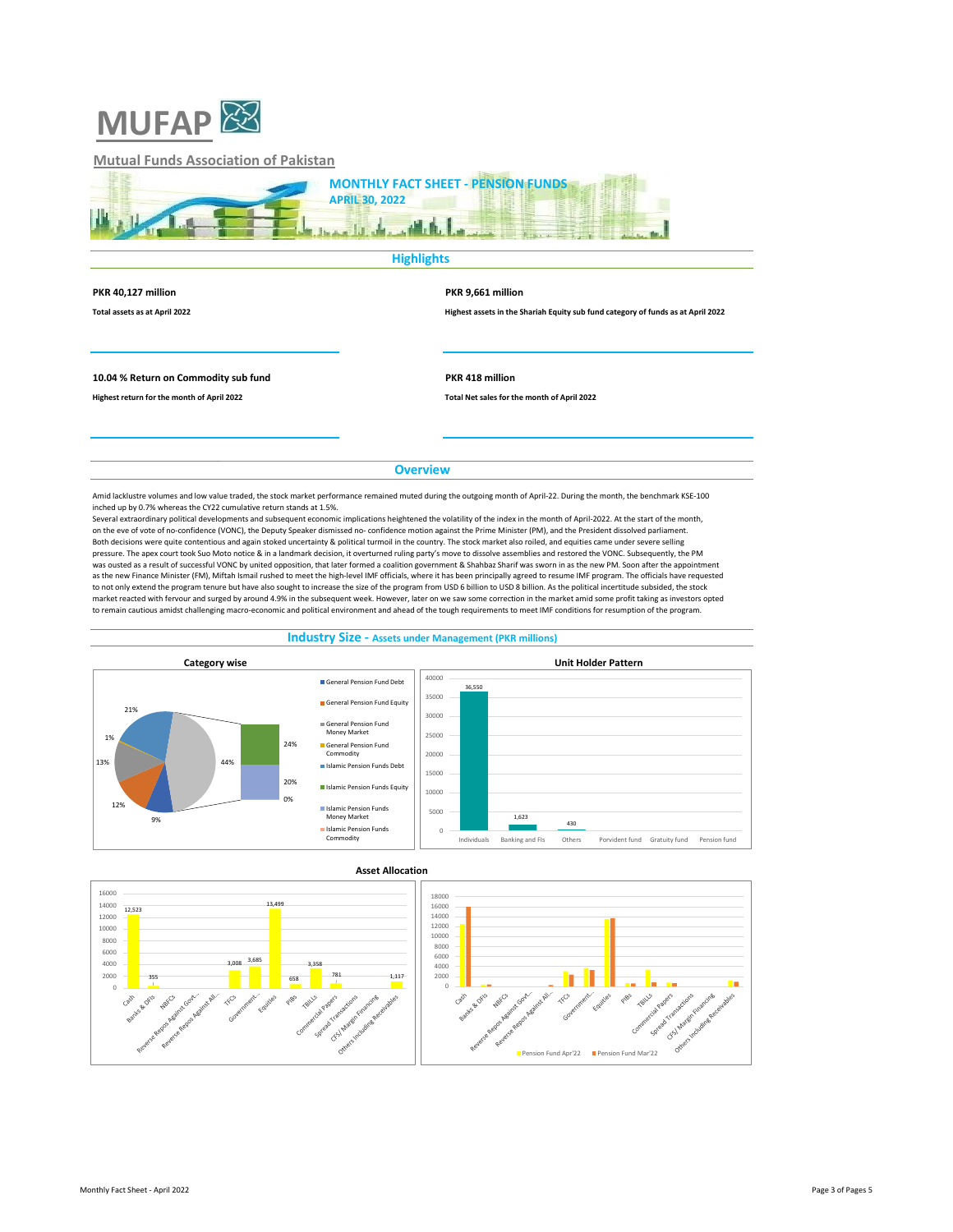

## **Mutual Funds Association of Pakistan**



## **Highlights**

### **PKR 40,127 million PKR 9,661 million**

**Total assets as at April 2022 Highest assets in the Shariah Equity sub fund category of funds as at April 2022**

## **10.04 % Return on Commodity sub fund PKR 418 million**

**Highest return for the month of April 2022 Total Net sales for the month of April 2022**

## **Overview**

Amid lacklustre volumes and low value traded, the stock market performance remained muted during the outgoing month of April-22. During the month, the benchmark KSE-100 inched up by 0.7% whereas the CY22 cumulative return stands at 1.5%.

Several extraordinary political developments and subsequent economic implications heightened the volatility of the index in the month of April-2022. At the start of the month, on the eve of vote of no-confidence (VONC), the Deputy Speaker dismissed no- confidence motion against the Prime Minister (PM), and the President dissolved parliament. Both decisions were quite contentious and again stoked uncertainty & political turmoil in the country. The stock market also roiled, and equities came under severe selling pressure. The apex court took Suo Moto notice & in a landmark decision, it overturned ruling party's move to dissolve assemblies and restored the VONC. Subsequently, the PM was ousted as a result of successful VONC by united opposition, that later formed a coalition government & Shahbaz Sharif was sworn in as the new PM. Soon after the appointment as the new Finance Minister (FM), Miftah Ismail rushed to meet the high-level IMF officials, where it has been principally agreed to resume IMF program. The officials have requested to not only extend the program tenure but have also sought to increase the size of the program from USD 6 billion to USD 8 billion. As the political incertitude subsided, the stock market reacted with fervour and surged by around 4.9% in the subsequent week. However, later on we saw some correction in the market amid some profit taking as investors opted to remain cautious amidst challenging macro-economic and political environment and ahead of the tough requirements to meet IMF conditions for resumption of the program.





### Monthly Fact Sheet - April 2022 Page 3 of Pages 5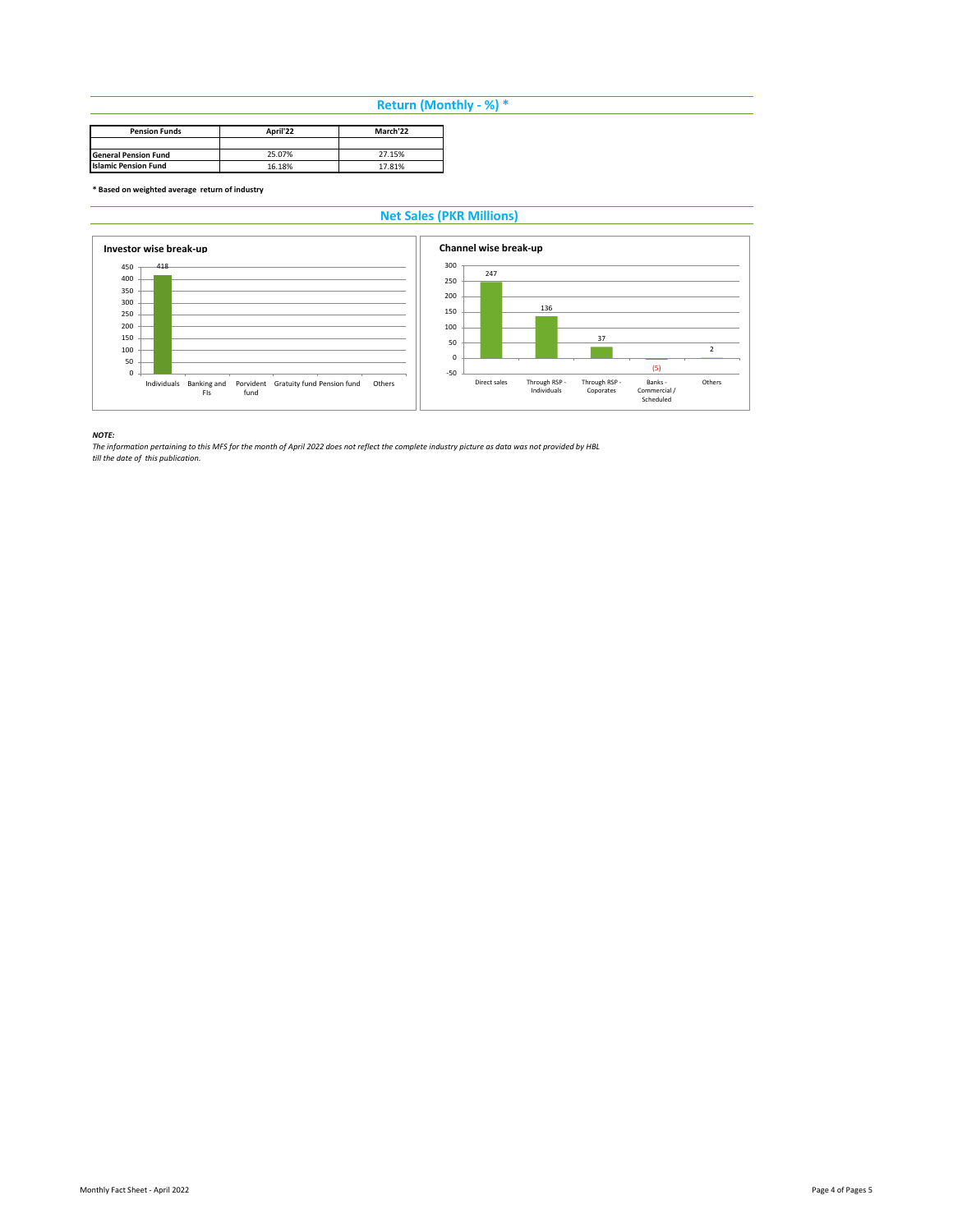# **Return (Monthly - %) \***

| <b>Pension Funds</b>        | April'22 | March'22 |
|-----------------------------|----------|----------|
|                             |          |          |
| <b>General Pension Fund</b> | 25.07%   | 27.15%   |
| <b>Islamic Pension Fund</b> | 16.18%   | 17.81%   |

**\* Based on weighted average return of industry**

# **Net Sales (PKR Millions)**



*NOTE: The information pertaining to this MFS for the month of April 2022 does not reflect the complete industry picture as data was not provided by HBL till the date of this publication.*